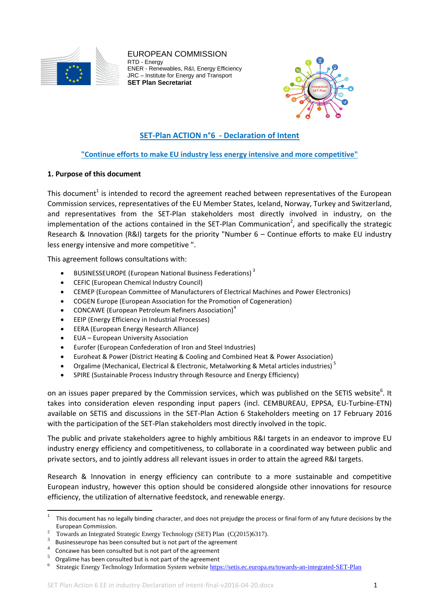

EUROPEAN COMMISSION RTD - Energy ENER - Renewables, R&I, Energy Efficiency JRC – Institute for Energy and Transport **SET Plan Secretariat**



# **SET-Plan ACTION n°6 - Declaration of Intent**

# **"Continue efforts to make EU industry less energy intensive and more competitive"**

### **1. Purpose of this document**

This document<sup>1</sup> is intended to record the agreement reached between representatives of the European Commission services, representatives of the EU Member States, Iceland, Norway, Turkey and Switzerland, and representatives from the SET-Plan stakeholders most directly involved in industry, on the implementation of the actions contained in the SET-Plan Communication<sup>2</sup>, and specifically the strategic Research & Innovation (R&I) targets for the priority "Number 6 – Continue efforts to make EU industry less energy intensive and more competitive ".

This agreement follows consultations with:

- BUSINESSEUROPE (European National Business Federations) <sup>3</sup>
- CEFIC (European Chemical Industry Council)
- CEMEP (European Committee of Manufacturers of Electrical Machines and Power Electronics)
- COGEN Europe (European Association for the Promotion of Cogeneration)
- CONCAWE (European Petroleum Refiners Association)<sup>4</sup>
- EEIP (Energy Efficiency in Industrial Processes)
- EERA (European Energy Research Alliance)
- EUA European University Association
- Eurofer (European Confederation of Iron and Steel Industries)
- Euroheat & Power (District Heating & Cooling and Combined Heat & Power Association)
- Orgalime (Mechanical, Electrical & Electronic, Metalworking & Metal articles industries)<sup>5</sup>
- SPIRE (Sustainable Process Industry through Resource and Energy Efficiency)

on an issues paper prepared by the Commission services, which was published on the SETIS website<sup>6</sup>. It takes into consideration eleven responding input papers (incl. CEMBUREAU, EPPSA, EU-Turbine-ETN) available on SETIS and discussions in the SET-Plan Action 6 Stakeholders meeting on 17 February 2016 with the participation of the SET-Plan stakeholders most directly involved in the topic.

The public and private stakeholders agree to highly ambitious R&I targets in an endeavor to improve EU industry energy efficiency and competitiveness, to collaborate in a coordinated way between public and private sectors, and to jointly address all relevant issues in order to attain the agreed R&I targets.

Research & Innovation in energy efficiency can contribute to a more sustainable and competitive European industry, however this option should be considered alongside other innovations for resource efficiency, the utilization of alternative feedstock, and renewable energy.

 $\frac{1}{1}$ This document has no legally binding character, and does not prejudge the process or final form of any future decisions by the European Commission.

<sup>2</sup> Towards an Integrated Strategic Energy Technology (SET) Plan (C(2015)6317).

<sup>3</sup> Businesseurope has been consulted but is not part of the agreement

<sup>4</sup> Concawe has been consulted but is not part of the agreement

<sup>5</sup> Orgalime has been consulted but is not part of the agreement

<sup>6</sup> Strategic Energy Technology Information System websit[e https://setis.ec.europa.eu/towards-an-integrated-SET-Plan](https://setis.ec.europa.eu/towards-an-integrated-SET-Plan)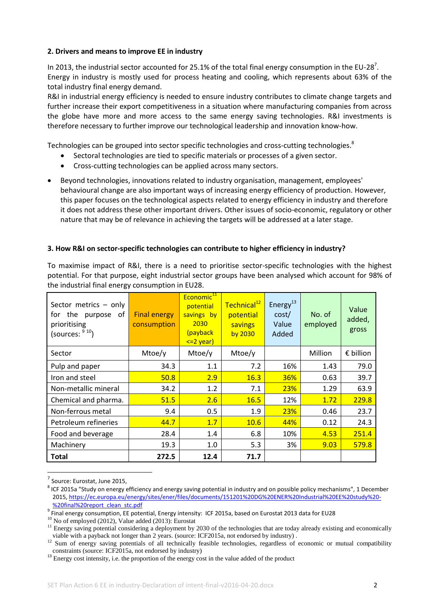### **2. Drivers and means to improve EE in industry**

In 2013, the industrial sector accounted for 25.1% of the total final energy consumption in the EU-28<sup>7</sup>. Energy in industry is mostly used for process heating and cooling, which represents about 63% of the total industry final energy demand.

R&I in industrial energy efficiency is needed to ensure industry contributes to climate change targets and further increase their export competitiveness in a situation where manufacturing companies from across the globe have more and more access to the same energy saving technologies. R&I investments is therefore necessary to further improve our technological leadership and innovation know-how.

Technologies can be grouped into sector specific technologies and cross-cutting technologies.<sup>8</sup>

- Sectoral technologies are tied to specific materials or processes of a given sector.
- Cross-cutting technologies can be applied across many sectors.
- Beyond technologies, innovations related to industry organisation, management, employees' behavioural change are also important ways of increasing energy efficiency of production. However, this paper focuses on the technological aspects related to energy efficiency in industry and therefore it does not address these other important drivers. Other issues of socio-economic, regulatory or other nature that may be of relevance in achieving the targets will be addressed at a later stage.

### **3. How R&I on sector-specific technologies can contribute to higher efficiency in industry?**

To maximise impact of R&I, there is a need to prioritise sector-specific technologies with the highest potential. For that purpose, eight industrial sector groups have been analysed which account for 98% of the industrial final energy consumption in EU28.

| Sector metrics - only<br>for the purpose of<br>prioritising<br>(sources: $910$ ) | <b>Final energy</b><br>consumption | Economic <sup>11</sup><br>potential<br>savings by<br>2030<br>(payback<br>$\leq$ 2 year) | Technical <sup>12</sup><br>potential<br>savings<br>by 2030 | Energy $^{13}$<br>cost/<br>Value<br>Added | No. of<br>employed | Value<br>added,<br>gross |
|----------------------------------------------------------------------------------|------------------------------------|-----------------------------------------------------------------------------------------|------------------------------------------------------------|-------------------------------------------|--------------------|--------------------------|
| Sector                                                                           | Mtoe/y                             | Mtoe/y                                                                                  | Mtoe/y                                                     |                                           | Million            | € billion                |
| Pulp and paper                                                                   | 34.3                               | 1.1                                                                                     | 7.2                                                        | 16%                                       | 1.43               | 79.0                     |
| Iron and steel                                                                   | 50.8                               | 2.9                                                                                     | 16.3                                                       | 36%                                       | 0.63               | 39.7                     |
| Non-metallic mineral                                                             | 34.2                               | 1.2                                                                                     | 7.1                                                        | 23%                                       | 1.29               | 63.9                     |
| Chemical and pharma.                                                             | 51.5                               | 2.6                                                                                     | 16.5                                                       | 12%                                       | 1.72               | 229.8                    |
| Non-ferrous metal                                                                | 9.4                                | 0.5                                                                                     | 1.9                                                        | 23%                                       | 0.46               | 23.7                     |
| Petroleum refineries                                                             | 44.7                               | 1.7                                                                                     | 10.6                                                       | 44%                                       | 0.12               | 24.3                     |
| Food and beverage                                                                | 28.4                               | 1.4                                                                                     | 6.8                                                        | 10%                                       | 4.53               | 251.4                    |
| Machinery                                                                        | 19.3                               | 1.0                                                                                     | 5.3                                                        | 3%                                        | 9.03               | 579.8                    |
| Total                                                                            | 272.5                              | 12.4                                                                                    | 71.7                                                       |                                           |                    |                          |

7 Source: Eurostat, June 2015,

1

<sup>&</sup>lt;sup>8</sup> ICF 2015a "Study on energy efficiency and energy saving potential in industry and on possible policy mechanisms", 1 December 2015, [https://ec.europa.eu/energy/sites/ener/files/documents/151201%20DG%20ENER%20Industrial%20EE%20study%20-](https://ec.europa.eu/energy/sites/ener/files/documents/151201%20DG%20ENER%20Industrial%20EE%20study%20-%20final%20report_clean_stc.pdf) [%20final%20report\\_clean\\_stc.pdf](https://ec.europa.eu/energy/sites/ener/files/documents/151201%20DG%20ENER%20Industrial%20EE%20study%20-%20final%20report_clean_stc.pdf)

<sup>9</sup> Final energy consumption, EE potential, Energy intensity: ICF 2015a, based on Eurostat 2013 data for EU28

 $10$  No of employed (2012), Value added (2013): Eurostat

 $11$  Energy saving potential considering a deployment by 2030 of the technologies that are today already existing and economically viable with a payback not longer than 2 years. (source: ICF2015a, not endorsed by industry) .

<sup>&</sup>lt;sup>12</sup> Sum of energy saving potentials of all technically feasible technologies, regardless of economic or mutual compatibility constraints (source: ICF2015a, not endorsed by industry)

<sup>&</sup>lt;sup>13</sup> Energy cost intensity, i.e. the proportion of the energy cost in the value added of the product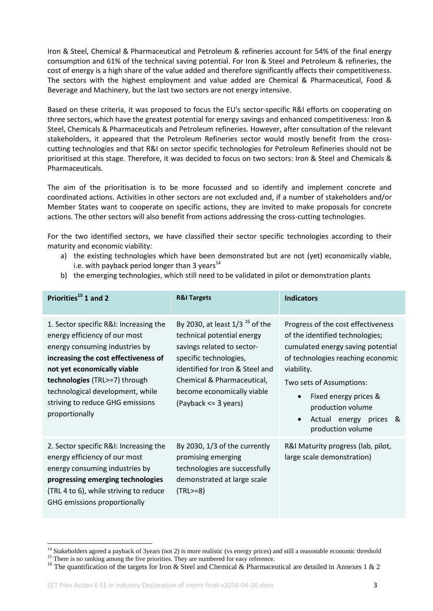Iron & Steel, Chemical & Pharmaceutical and Petroleum & refineries account for 54% of the final energy consumption and 61% of the technical saving potential. For Iron & Steel and Petroleum & refineries, the cost of energy is a high share of the value added and therefore significantly affects their competitiveness. The sectors with the highest employment and value added are Chemical & Pharmaceutical, Food & Beverage and Machinery, but the last two sectors are not energy intensive.

Based on these criteria, it was proposed to focus the EU's sector-specific R&I efforts on cooperating on three sectors, which have the greatest potential for energy savings and enhanced competitiveness: Iron & Steel, Chemicals & Pharmaceuticals and Petroleum refineries. However, after consultation of the relevant stakeholders, it appeared that the Petroleum Refineries sector would mostly benefit from the crosscutting technologies and that R&I on sector specific technologies for Petroleum Refineries should not be prioritised at this stage. Therefore, it was decided to focus on two sectors: Iron & Steel and Chemicals & Pharmaceuticals.

The aim of the prioritisation is to be more focussed and so identify and implement concrete and coordinated actions. Activities in other sectors are not excluded and, if a number of stakeholders and/or Member States want to cooperate on specific actions, they are invited to make proposals for concrete actions. The other sectors will also benefit from actions addressing the cross-cutting technologies.

For the two identified sectors, we have classified their sector specific technologies according to their maturity and economic viability:

- a) the existing technologies which have been demonstrated but are not (yet) economically viable, i.e. with payback period longer than 3 years $^{14}$
- b) the emerging technologies, which still need to be validated in pilot or demonstration plants

| Priorities <sup>15</sup> 1 and 2                                                                                                                                                                                                                                                                            | <b>R&amp;I Targets</b>                                                                                                                                                                                                                                        | <b>Indicators</b>                                                                                                                                                                                                                                                                                                |
|-------------------------------------------------------------------------------------------------------------------------------------------------------------------------------------------------------------------------------------------------------------------------------------------------------------|---------------------------------------------------------------------------------------------------------------------------------------------------------------------------------------------------------------------------------------------------------------|------------------------------------------------------------------------------------------------------------------------------------------------------------------------------------------------------------------------------------------------------------------------------------------------------------------|
| 1. Sector specific R&I: Increasing the<br>energy efficiency of our most<br>energy consuming industries by<br>increasing the cost effectiveness of<br>not yet economically viable<br>technologies (TRL>=7) through<br>technological development, while<br>striving to reduce GHG emissions<br>proportionally | By 2030, at least $1/3$ <sup>16</sup> of the<br>technical potential energy<br>savings related to sector-<br>specific technologies,<br>identified for Iron & Steel and<br>Chemical & Pharmaceutical,<br>become economically viable<br>$(Payback \leq 3 years)$ | Progress of the cost effectiveness<br>of the identified technologies;<br>cumulated energy saving potential<br>of technologies reaching economic<br>viability.<br>Two sets of Assumptions:<br>Fixed energy prices &<br>$\bullet$<br>production volume<br>Actual energy prices &<br>$\bullet$<br>production volume |
| 2. Sector specific R&I: Increasing the<br>energy efficiency of our most<br>energy consuming industries by<br>progressing emerging technologies<br>(TRL 4 to 6), while striving to reduce<br>GHG emissions proportionally                                                                                    | By 2030, 1/3 of the currently<br>promising emerging<br>technologies are successfully<br>demonstrated at large scale<br>$(TRL>=8)$                                                                                                                             | R&I Maturity progress (lab, pilot,<br>large scale demonstration)                                                                                                                                                                                                                                                 |

**.** 

<sup>&</sup>lt;sup>14</sup> Stakeholders agreed a payback of 3years (not 2) is more realistic (vs energy prices) and still a reasonable economic threshold

<sup>&</sup>lt;sup>15</sup> There is no ranking among the five priorities. They are numbered for easy reference.

<sup>&</sup>lt;sup>16</sup> The quantification of the targets for Iron & Steel and Chemical & Pharmaceutical are detailed in Annexes 1 & 2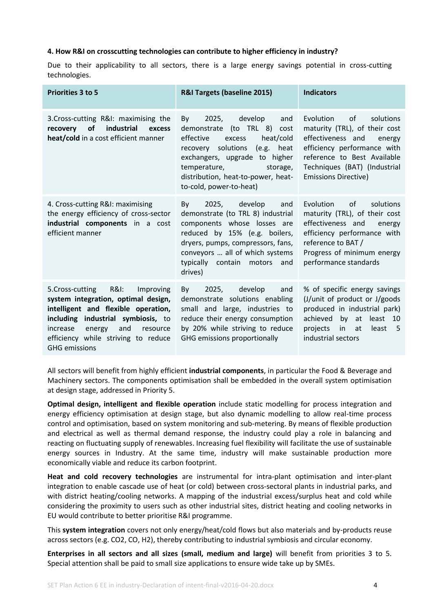#### **4. How R&I on crosscutting technologies can contribute to higher efficiency in industry?**

Due to their applicability to all sectors, there is a large energy savings potential in cross-cutting technologies.

| <b>Priorities 3 to 5</b>                                                                                                                                                                                                                                                     | R&I Targets (baseline 2015)                                                                                                                                                                                                                                                     | <b>Indicators</b>                                                                                                                                                                                                         |
|------------------------------------------------------------------------------------------------------------------------------------------------------------------------------------------------------------------------------------------------------------------------------|---------------------------------------------------------------------------------------------------------------------------------------------------------------------------------------------------------------------------------------------------------------------------------|---------------------------------------------------------------------------------------------------------------------------------------------------------------------------------------------------------------------------|
| 3. Cross-cutting R&I: maximising the<br><b>of</b><br>industrial<br>recovery<br>excess<br>heat/cold in a cost efficient manner                                                                                                                                                | 2025,<br>develop<br>and<br>By<br>$(to$ TRL $8)$<br>demonstrate<br>cost<br>effective<br>excess<br>heat/cold<br>recovery solutions<br>(e.g.<br>heat<br>exchangers, upgrade to higher<br>temperature,<br>storage,<br>distribution, heat-to-power, heat-<br>to-cold, power-to-heat) | of<br>Evolution<br>solutions<br>maturity (TRL), of their cost<br>effectiveness and<br>energy<br>efficiency performance with<br>reference to Best Available<br>Techniques (BAT) (Industrial<br><b>Emissions Directive)</b> |
| 4. Cross-cutting R&I: maximising<br>the energy efficiency of cross-sector<br>industrial components in a cost<br>efficient manner                                                                                                                                             | 2025,<br>develop<br>and<br>By<br>demonstrate (to TRL 8) industrial<br>components whose losses are<br>reduced by 15% (e.g. boilers,<br>dryers, pumps, compressors, fans,<br>conveyors  all of which systems<br>typically<br>contain motors<br>and<br>drives)                     | of<br>Evolution<br>solutions<br>maturity (TRL), of their cost<br>effectiveness and<br>energy<br>efficiency performance with<br>reference to BAT /<br>Progress of minimum energy<br>performance standards                  |
| <b>R&amp;I:</b><br>5. Cross-cutting<br>Improving<br>system integration, optimal design,<br>intelligent and flexible operation,<br>including industrial symbiosis, to<br>and<br>increase<br>energy<br>resource<br>efficiency while striving to reduce<br><b>GHG emissions</b> | develop<br>2025.<br>and<br>By<br>demonstrate solutions enabling<br>small and large, industries to<br>reduce their energy consumption<br>by 20% while striving to reduce<br>GHG emissions proportionally                                                                         | % of specific energy savings<br>(J/unit of product or J/goods<br>produced in industrial park)<br>achieved<br>by at<br>least<br>10<br>in<br>projects<br>at<br>least<br>- 5<br>industrial sectors                           |

All sectors will benefit from highly efficient **industrial components**, in particular the Food & Beverage and Machinery sectors. The components optimisation shall be embedded in the overall system optimisation at design stage, addressed in Priority 5.

**Optimal design, intelligent and flexible operation** include static modelling for process integration and energy efficiency optimisation at design stage, but also dynamic modelling to allow real-time process control and optimisation, based on system monitoring and sub-metering. By means of flexible production and electrical as well as thermal demand response, the industry could play a role in balancing and reacting on fluctuating supply of renewables. Increasing fuel flexibility will facilitate the use of sustainable energy sources in Industry. At the same time, industry will make sustainable production more economically viable and reduce its carbon footprint.

**Heat and cold recovery technologies** are instrumental for intra-plant optimisation and inter-plant integration to enable cascade use of heat (or cold) between cross-sectoral plants in industrial parks, and with district heating/cooling networks. A mapping of the industrial excess/surplus heat and cold while considering the proximity to users such as other industrial sites, district heating and cooling networks in EU would contribute to better prioritise R&I programme.

This **system integration** covers not only energy/heat/cold flows but also materials and by-products reuse across sectors (e.g. CO2, CO, H2), thereby contributing to industrial symbiosis and circular economy.

**Enterprises in all sectors and all sizes (small, medium and large)** will benefit from priorities 3 to 5. Special attention shall be paid to small size applications to ensure wide take up by SMEs.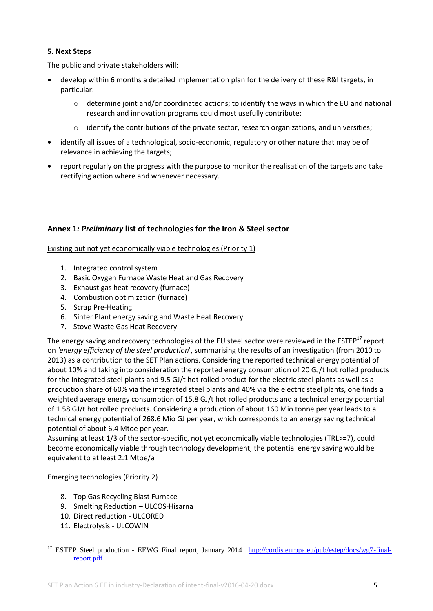# **5. Next Steps**

The public and private stakeholders will:

- develop within 6 months a detailed implementation plan for the delivery of these R&I targets, in particular:
	- $\circ$  determine joint and/or coordinated actions; to identify the ways in which the EU and national research and innovation programs could most usefully contribute;
	- $\circ$  identify the contributions of the private sector, research organizations, and universities;
- identify all issues of a technological, socio-economic, regulatory or other nature that may be of relevance in achieving the targets;
- report regularly on the progress with the purpose to monitor the realisation of the targets and take rectifying action where and whenever necessary.

# **Annex 1***: Preliminary* **list of technologies for the Iron & Steel sector**

Existing but not yet economically viable technologies (Priority 1)

- 1. Integrated control system
- 2. Basic Oxygen Furnace Waste Heat and Gas Recovery
- 3. Exhaust gas heat recovery (furnace)
- 4. Combustion optimization (furnace)
- 5. Scrap Pre-Heating
- 6. Sinter Plant energy saving and Waste Heat Recovery
- 7. Stove Waste Gas Heat Recovery

The energy saving and recovery technologies of the EU steel sector were reviewed in the  $ESTEP<sup>17</sup>$  report on *'energy efficiency of the steel production*', summarising the results of an investigation (from 2010 to 2013) as a contribution to the SET Plan actions. Considering the reported technical energy potential of about 10% and taking into consideration the reported energy consumption of 20 GJ/t hot rolled products for the integrated steel plants and 9.5 GJ/t hot rolled product for the electric steel plants as well as a production share of 60% via the integrated steel plants and 40% via the electric steel plants, one finds a weighted average energy consumption of 15.8 GJ/t hot rolled products and a technical energy potential of 1.58 GJ/t hot rolled products. Considering a production of about 160 Mio tonne per year leads to a technical energy potential of 268.6 Mio GJ per year, which corresponds to an energy saving technical potential of about 6.4 Mtoe per year.

Assuming at least 1/3 of the sector-specific, not yet economically viable technologies (TRL>=7), could become economically viable through technology development, the potential energy saving would be equivalent to at least 2.1 Mtoe/a

#### Emerging technologies (Priority 2)

- 8. Top Gas Recycling Blast Furnace
- 9. Smelting Reduction ULCOS-Hisarna
- 10. Direct reduction ULCORED
- 11. Electrolysis ULCOWIN

**<sup>.</sup>** <sup>17</sup> ESTEP Steel production - EEWG Final report, January 2014 [http://cordis.europa.eu/pub/estep/docs/wg7-final](http://cordis.europa.eu/pub/estep/docs/wg7-final-report.pdf)[report.pdf](http://cordis.europa.eu/pub/estep/docs/wg7-final-report.pdf)